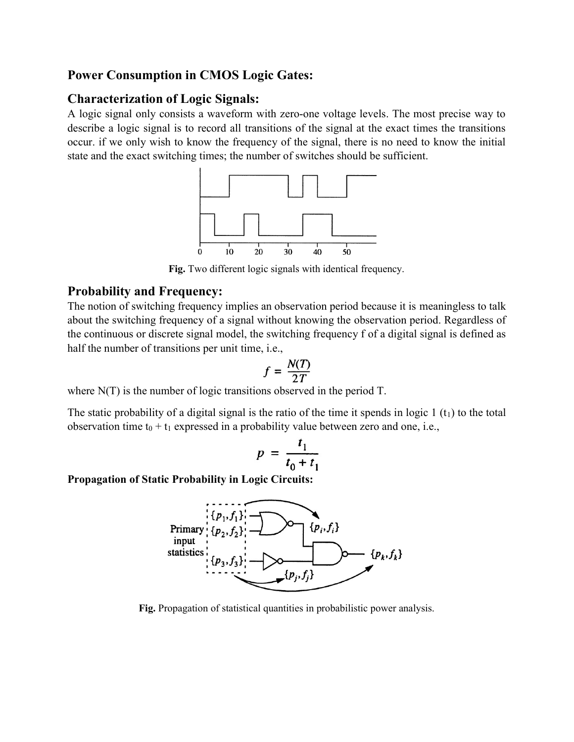## Power Consumption in CMOS Logic Gates:

## Characterization of Logic Signals:

A logic signal only consists a waveform with zero-one voltage levels. The most precise way to describe a logic signal is to record all transitions of the signal at the exact times the transitions occur. if we only wish to know the frequency of the signal, there is no need to know the initial state and the exact switching times; the number of switches should be sufficient.



Fig. Two different logic signals with identical frequency.

## Probability and Frequency:

The notion of switching frequency implies an observation period because it is meaningless to talk about the switching frequency of a signal without knowing the observation period. Regardless of the continuous or discrete signal model, the switching frequency f of a digital signal is defined as half the number of transitions per unit time, i.e.,

$$
f = \frac{N(T)}{2T}
$$

where N(T) is the number of logic transitions observed in the period T.

The static probability of a digital signal is the ratio of the time it spends in logic  $1(t_1)$  to the total observation time  $t_0 + t_1$  expressed in a probability value between zero and one, i.e.,

$$
p = \frac{t_1}{t_0 + t_1}
$$

Propagation of Static Probability in Logic Circuits:



Fig. Propagation of statistical quantities in probabilistic power analysis.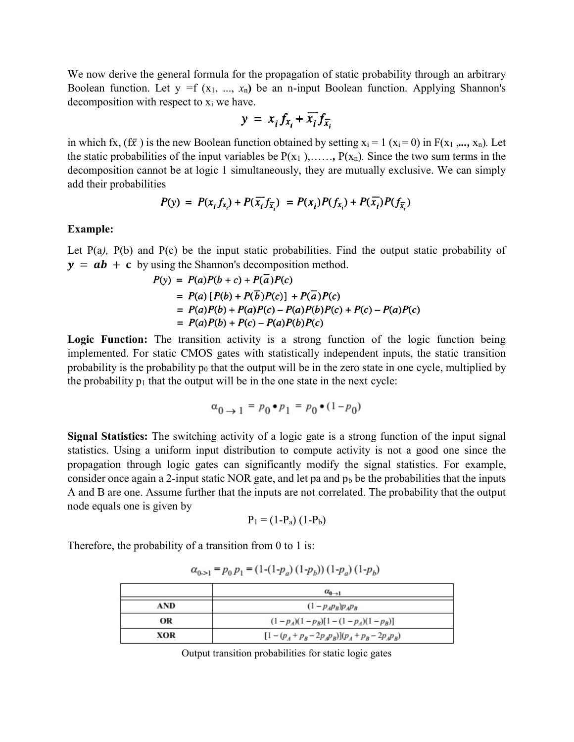We now derive the general formula for the propagation of static probability through an arbitrary Boolean function. Let  $y = f(x_1, ..., x_n)$  be an n-input Boolean function. Applying Shannon's decomposition with respect to  $x_i$  we have.

$$
y = x_i f_{x_i} + \overline{x_i} f_{\overline{x_i}}
$$

in which fx,  $(f\bar{x})$  is the new Boolean function obtained by setting  $x_i = 1$  ( $x_i = 0$ ) in  $F(x_1, ..., x_n)$ . Let the static probabilities of the input variables be  $P(x_1)$ , ...,  $P(x_n)$ . Since the two sum terms in the decomposition cannot be at logic 1 simultaneously, they are mutually exclusive. We can simply add their probabilities

$$
P(y) = P(x_i f_{x_i}) + P(\overline{x_i} f_{\overline{x_i}}) = P(x_i)P(f_{x_i}) + P(\overline{x_i})P(f_{\overline{x_i}})
$$

## Example:

Let P(a), P(b) and P(c) be the input static probabilities. Find the output static probability of  $y = ab + c$  by using the Shannon's decomposition method.

$$
P(y) = P(a)P(b + c) + P(a)P(c)
$$
  
=  $P(a) [P(b) + P(\overline{b})P(c)] + P(\overline{a})P(c)$   
=  $P(a)P(b) + P(a)P(c) - P(a)P(b)P(c) + P(c) - P(a)P(c)$   
=  $P(a)P(b) + P(c) - P(a)P(b)P(c)$ 

Logic Function: The transition activity is a strong function of the logic function being implemented. For static CMOS gates with statistically independent inputs, the static transition probability is the probability  $p_0$  that the output will be in the zero state in one cycle, multiplied by the probability  $p_1$  that the output will be in the one state in the next cycle:

$$
\alpha_{0 \to 1} = p_0 \bullet p_1 = p_0 \bullet (1 - p_0)
$$

Signal Statistics: The switching activity of a logic gate is a strong function of the input signal statistics. Using a uniform input distribution to compute activity is not a good one since the propagation through logic gates can significantly modify the signal statistics. For example, consider once again a 2-input static NOR gate, and let pa and  $p<sub>b</sub>$  be the probabilities that the inputs A and B are one. Assume further that the inputs are not correlated. The probability that the output node equals one is given by

$$
P_1 = (1-P_a) (1-P_b)
$$

Therefore, the probability of a transition from 0 to 1 is:

|     | $\alpha_{0\rightarrow1}$                 |
|-----|------------------------------------------|
| AND | $(1-p_A p_B) p_A p_B$                    |
| OR  | $(1-p_A)(1-p_B)[1-(1-p_A)(1-p_B)]$       |
| XOR | $[1-(p_A+p_B-2p_Ap_B)](p_A+p_B-2p_Ap_B)$ |

 $\alpha_{0 \rightarrow 1} = p_0 p_1 = (1-(1-p_a) (1-p_b)) (1-p_a) (1-p_b)$ 

Output transition probabilities for static logic gates